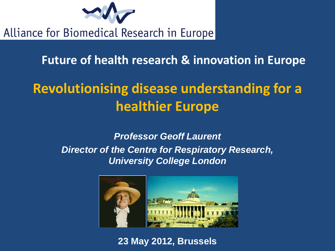

Alliance for Biomedical Research in Europe

**Future of health research & innovation in Europe** 

# **Revolutionising disease understanding for a healthier Europe**

*Professor Geoff Laurent Director of the Centre for Respiratory Research, University College London*



**23 May 2012, Brussels**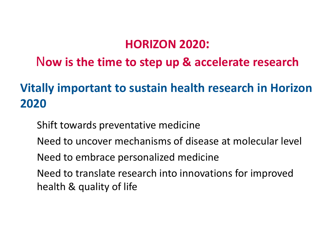#### **HORIZON 2020:**

## N**ow is the time to step up & accelerate research**

# **Vitally important to sustain health research in Horizon 2020**

Shift towards preventative medicine Need to uncover mechanisms of disease at molecular level Need to embrace personalized medicine Need to translate research into innovations for improved health & quality of life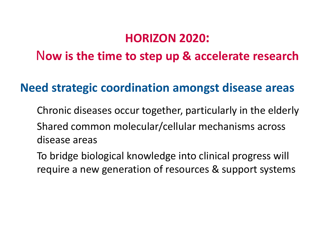## **HORIZON 2020:**

## N**ow is the time to step up & accelerate research**

#### **Need strategic coordination amongst disease areas**

Chronic diseases occur together, particularly in the elderly Shared common molecular/cellular mechanisms across disease areas

To bridge biological knowledge into clinical progress will require a new generation of resources & support systems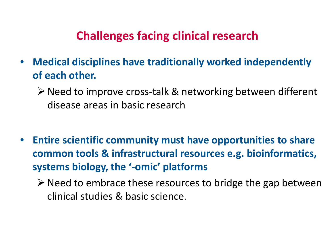## **Challenges facing clinical research**

- **Medical disciplines have traditionally worked independently of each other.**
	- $\triangleright$  Need to improve cross-talk & networking between different disease areas in basic research
- **Entire scientific community must have opportunities to share common tools & infrastructural resources e.g. bioinformatics, systems biology, the '-omic' platforms**
	- $\triangleright$  Need to embrace these resources to bridge the gap between clinical studies & basic science.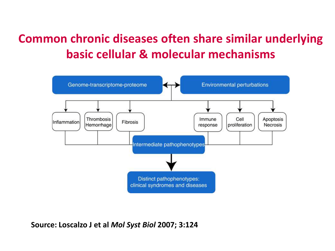# **Common chronic diseases often share similar underlying basic cellular & molecular mechanisms**



**Source: Loscalzo J et al** *Mol Syst Biol* **2007; 3:124**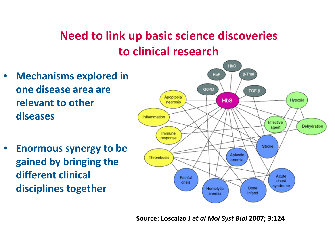# **Need to link up basic science discoveries to clinical research**

- **Mechanisms explored in one disease area are relevant to other diseases**
- **Enormous synergy to be gained by bringing the different clinical disciplines together**



**Source: Loscalzo J** *et al Mol Syst Biol* **2007; 3:124**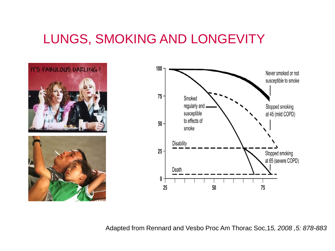# LUNGS, SMOKING AND LONGEVITY



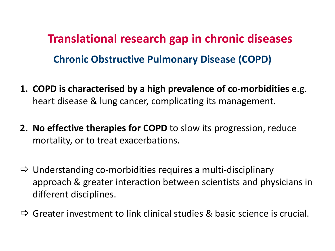**Chronic Obstructive Pulmonary Disease (COPD) Translational research gap in chronic diseases** 

- **1. COPD is characterised by a high prevalence of co-morbidities** e.g. heart disease & lung cancer, complicating its management.
- **2. No effective therapies for COPD** to slow its progression, reduce mortality, or to treat exacerbations.
- $\Rightarrow$  Understanding co-morbidities requires a multi-disciplinary approach & greater interaction between scientists and physicians in different disciplines.
- $\Rightarrow$  Greater investment to link clinical studies & basic science is crucial.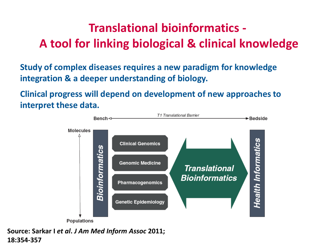## **Translational bioinformatics - A tool for linking biological & clinical knowledge**

**Study of complex diseases requires a new paradigm for knowledge integration & a deeper understanding of biology.** 

**Clinical progress will depend on development of new approaches to interpret these data.** 



**Source: Sarkar I** *et al***.** *J Am Med Inform Assoc* **2011; 18:354-357**